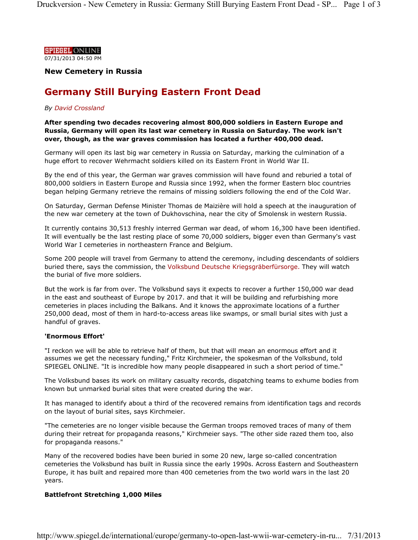

**New Cemetery in Russia**

# **Germany Still Burying Eastern Front Dead**

### *By David Crossland*

**After spending two decades recovering almost 800,000 soldiers in Eastern Europe and Russia, Germany will open its last war cemetery in Russia on Saturday. The work isn't over, though, as the war graves commission has located a further 400,000 dead.** 

Germany will open its last big war cemetery in Russia on Saturday, marking the culmination of a huge effort to recover Wehrmacht soldiers killed on its Eastern Front in World War II.

By the end of this year, the German war graves commission will have found and reburied a total of 800,000 soldiers in Eastern Europe and Russia since 1992, when the former Eastern bloc countries began helping Germany retrieve the remains of missing soldiers following the end of the Cold War.

On Saturday, German Defense Minister Thomas de Maizière will hold a speech at the inauguration of the new war cemetery at the town of Dukhovschina, near the city of Smolensk in western Russia.

It currently contains 30,513 freshly interred German war dead, of whom 16,300 have been identified. It will eventually be the last resting place of some 70,000 soldiers, bigger even than Germany's vast World War I cemeteries in northeastern France and Belgium.

Some 200 people will travel from Germany to attend the ceremony, including descendants of soldiers buried there, says the commission, the Volksbund Deutsche Kriegsgräberfürsorge. They will watch the burial of five more soldiers.

But the work is far from over. The Volksbund says it expects to recover a further 150,000 war dead in the east and southeast of Europe by 2017. and that it will be building and refurbishing more cemeteries in places including the Balkans. And it knows the approximate locations of a further 250,000 dead, most of them in hard-to-access areas like swamps, or small burial sites with just a handful of graves.

#### **'Enormous Effort'**

"I reckon we will be able to retrieve half of them, but that will mean an enormous effort and it assumes we get the necessary funding," Fritz Kirchmeier, the spokesman of the Volksbund, told SPIEGEL ONLINE. "It is incredible how many people disappeared in such a short period of time."

The Volksbund bases its work on military casualty records, dispatching teams to exhume bodies from known but unmarked burial sites that were created during the war.

It has managed to identify about a third of the recovered remains from identification tags and records on the layout of burial sites, says Kirchmeier.

"The cemeteries are no longer visible because the German troops removed traces of many of them during their retreat for propaganda reasons," Kirchmeier says. "The other side razed them too, also for propaganda reasons."

Many of the recovered bodies have been buried in some 20 new, large so-called concentration cemeteries the Volksbund has built in Russia since the early 1990s. Across Eastern and Southeastern Europe, it has built and repaired more than 400 cemeteries from the two world wars in the last 20 years.

## **Battlefront Stretching 1,000 Miles**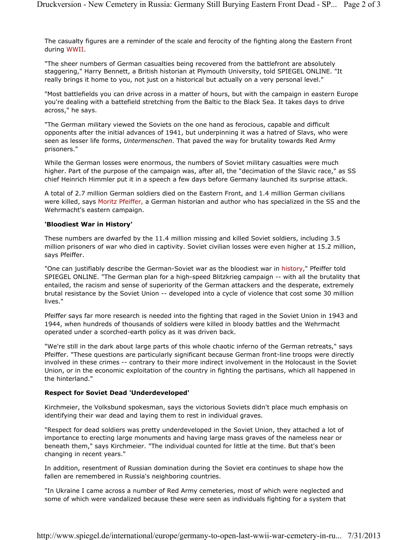The casualty figures are a reminder of the scale and ferocity of the fighting along the Eastern Front during WWII.

"The sheer numbers of German casualties being recovered from the battlefront are absolutely staggering," Harry Bennett, a British historian at Plymouth University, told SPIEGEL ONLINE. "It really brings it home to you, not just on a historical but actually on a very personal level."

"Most battlefields you can drive across in a matter of hours, but with the campaign in eastern Europe you're dealing with a battefield stretching from the Baltic to the Black Sea. It takes days to drive across," he says.

"The German military viewed the Soviets on the one hand as ferocious, capable and difficult opponents after the initial advances of 1941, but underpinning it was a hatred of Slavs, who were seen as lesser life forms, *Untermenschen*. That paved the way for brutality towards Red Army prisoners."

While the German losses were enormous, the numbers of Soviet military casualties were much higher. Part of the purpose of the campaign was, after all, the "decimation of the Slavic race," as SS chief Heinrich Himmler put it in a speech a few days before Germany launched its surprise attack.

A total of 2.7 million German soldiers died on the Eastern Front, and 1.4 million German civilians were killed, says Moritz Pfeiffer, a German historian and author who has specialized in the SS and the Wehrmacht's eastern campaign.

#### **'Bloodiest War in History'**

These numbers are dwarfed by the 11.4 million missing and killed Soviet soldiers, including 3.5 million prisoners of war who died in captivity. Soviet civilian losses were even higher at 15.2 million, says Pfeiffer.

"One can justifiably describe the German-Soviet war as the bloodiest war in history," Pfeiffer told SPIEGEL ONLINE. "The German plan for a high-speed Blitzkrieg campaign -- with all the brutality that entailed, the racism and sense of superiority of the German attackers and the desperate, extremely brutal resistance by the Soviet Union -- developed into a cycle of violence that cost some 30 million lives."

Pfeiffer says far more research is needed into the fighting that raged in the Soviet Union in 1943 and 1944, when hundreds of thousands of soldiers were killed in bloody battles and the Wehrmacht operated under a scorched-earth policy as it was driven back.

"We're still in the dark about large parts of this whole chaotic inferno of the German retreats," says Pfeiffer. "These questions are particularly significant because German front-line troops were directly involved in these crimes -- contrary to their more indirect involvement in the Holocaust in the Soviet Union, or in the economic exploitation of the country in fighting the partisans, which all happened in the hinterland."

#### **Respect for Soviet Dead 'Underdeveloped'**

Kirchmeier, the Volksbund spokesman, says the victorious Soviets didn't place much emphasis on identifying their war dead and laying them to rest in individual graves.

"Respect for dead soldiers was pretty underdeveloped in the Soviet Union, they attached a lot of importance to erecting large monuments and having large mass graves of the nameless near or beneath them," says Kirchmeier. "The individual counted for little at the time. But that's been changing in recent years."

In addition, resentment of Russian domination during the Soviet era continues to shape how the fallen are remembered in Russia's neighboring countries.

"In Ukraine I came across a number of Red Army cemeteries, most of which were neglected and some of which were vandalized because these were seen as individuals fighting for a system that